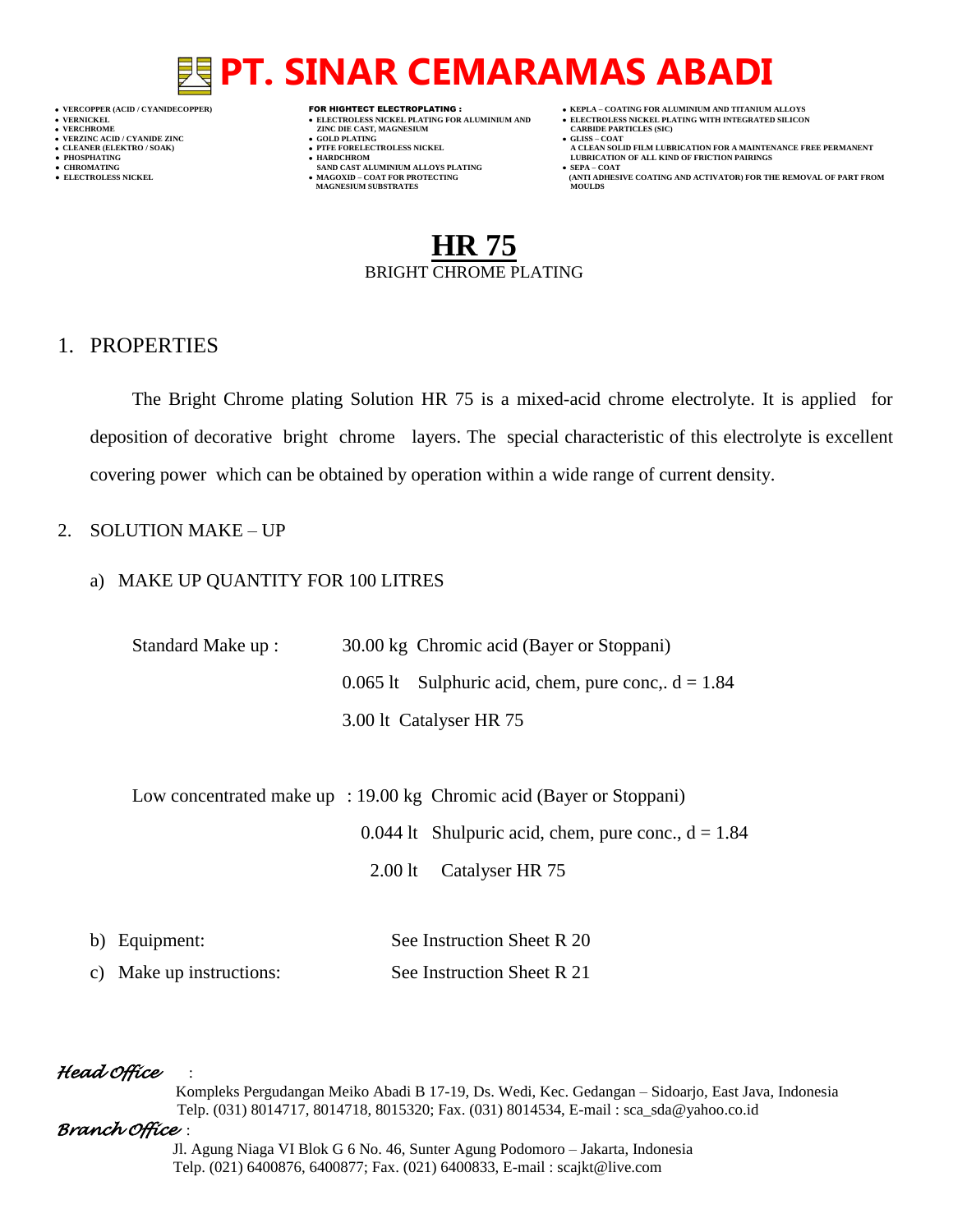- 
- 
- 
- 

- **VERT AND AGNESIUM CARBIDE PARTICLES (SOLD PLATING ASSESSMENT ASSESSMENT ASSESSMENT ASSESSMENT ASSESSMENT ASSESSMENT ASSESSMENT ASSESSMENT ASSESSMENT ASSESSMENT ASSESSMENT ASSESSMENT ASSESSMENT ASSESSMENT ASSESSMENT ASSESS**
- **VERZINC ACID / CYANIDE ZINC GOLD PLATING GLISS – COAT**
	-
- **● CHROMATING SAND CAST ALUMINIUM ALLOYS PLATING SEPA – COAT MAGNESIUM SUBSTRATES MOULDS**
- **VERCOPPER (ACID / CYANIDECOPPER)** FOR HIGHTECT ELECTROPLATING :  **KEPLA – COATING FOR ALUMINIUM AND TITANIUM ALLOYS**
- **VERNICKEL ELECTROLESS NICKEL PLATING FOR ALUMINIUM AND ELECTROLESS NICKEL PLATING WITH INTEGRATED SILICON**
	-
- **CLEANER (ELEKTRO / SOAK) PTFE FORELECTROLESS NICKEL A CLEAN SOLID FILM LUBRICATION FOR A MAINTENANCE FREE PERMANENT ● PHOSPHATING HARDCHROM LUBRICATION OF ALL KIND OF FRICTION PAIRINGS**
- **• ELECTROLESS NICKEL <b>MAGOXID COAT FOR PROTECTING (ANTI ADDITION** FOR THE REMOVAL OF PART FROM **AND ACTIVATOR**) FOR THE REMOVAL OF PART FROM **AND ACTIVATOR** (ANTI ADHESIVE COATING AND ACTIVATOR) FOR THE REMOVAL OF P

## **HR 75** BRIGHT CHROME PLATING

### 1. PROPERTIES

The Bright Chrome plating Solution HR 75 is a mixed-acid chrome electrolyte. It is applied for deposition of decorative bright chrome layers. The special characteristic of this electrolyte is excellent covering power which can be obtained by operation within a wide range of current density.

### 2. SOLUTION MAKE – UP

### a) MAKE UP QUANTITY FOR 100 LITRES

| Standard Make up : | 30.00 kg Chromic acid (Bayer or Stoppani)            |
|--------------------|------------------------------------------------------|
|                    | 0.065 lt Sulphuric acid, chem, pure conc, $d = 1.84$ |
|                    | 3.00 lt Catalyser HR 75                              |

Low concentrated make up : 19.00 kg Chromic acid (Bayer or Stoppani)

0.044 lt Shulpuric acid, chem, pure conc.,  $d = 1.84$ 

2.00 lt Catalyser HR 75

| b) Equipment:            | See Instruction Sheet R 20 |
|--------------------------|----------------------------|
| c) Make up instructions: | See Instruction Sheet R 21 |

### *Head Office* :

 Kompleks Pergudangan Meiko Abadi B 17-19, Ds. Wedi, Kec. Gedangan – Sidoarjo, East Java, Indonesia Telp. (031) 8014717, 8014718, 8015320; Fax. (031) 8014534, E-mail : sca\_sda@yahoo.co.id

### *Branch Office* :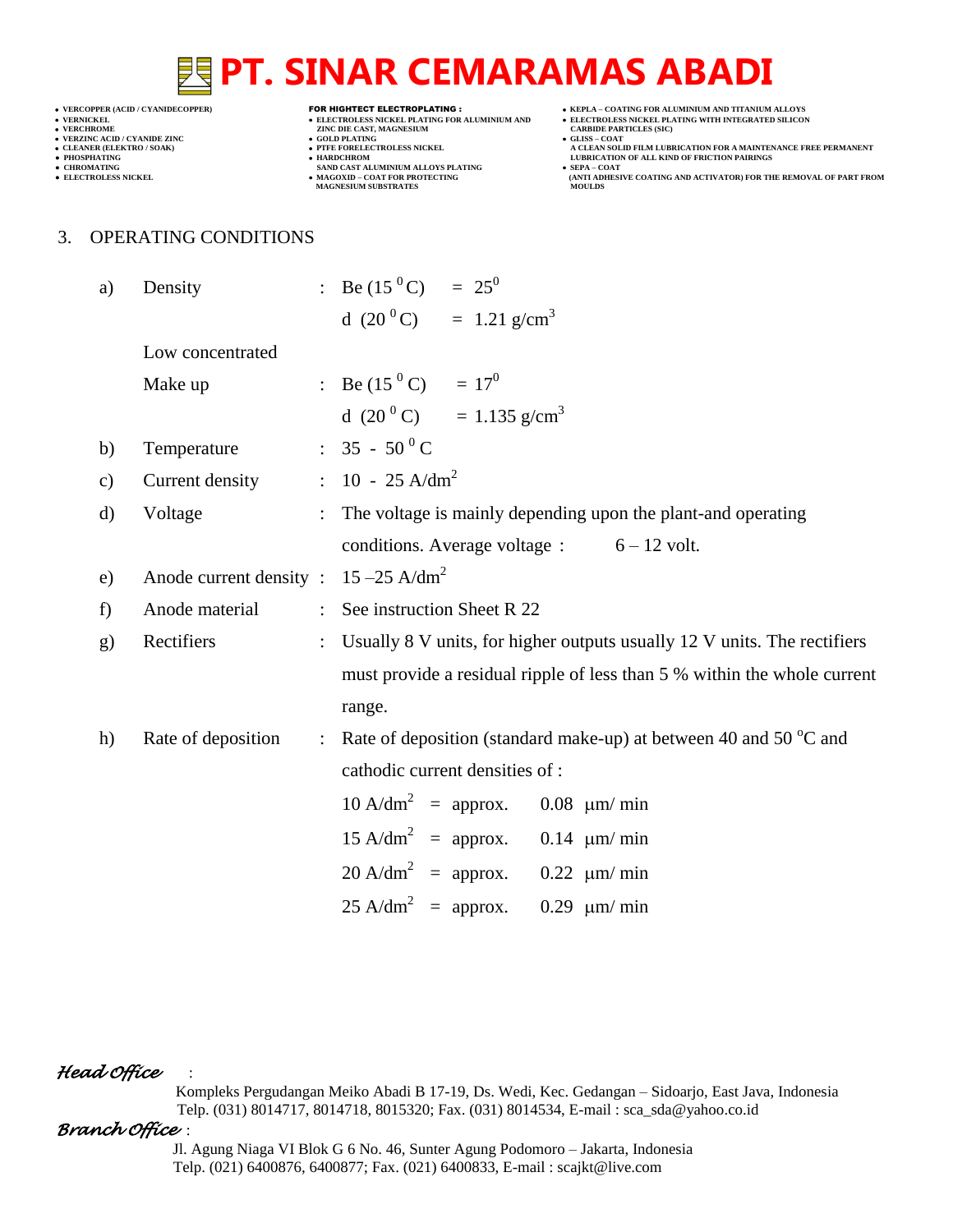- 
- 

**VERCHROLES NICKEL PLATING FOR ALUMINIUM AND**<br> **VELECTROLES NICKEL PLATING FOR ALUMINIUM AND**<br> **CARBIDE CAST, MAGNESIUM**<br> **CARBIDE PLATING**<br>
CAST COLD PLATING  $\begin{tabular}{lllllllllllll} $\bullet$ & VERCHSOME & $\bullet$ & ZINC DIE CAST, MAGNESIUM \\ $\bullet$ & VERCHSOME & $\bullet$ & GOLD PLATING \\ $\bullet$ & GOLD PLATING & $\bullet$ & GOLD PLATING \\ $\bullet$ & TTE FORELECTROLES NICKEL \\ \end{tabular}$ 

- 
- 
- **● CHROMATING SAND CAST ALUMINIUM ALLOYS PLATING SEPA – COAT MAGNESIUM SUBSTRATES MOULDS**
- **VERCOPPER (ACID / CYANIDECOPPER)** FOR HIGHTECT ELECTROPLATING :  **KEPLA – COATING FOR ALUMINIUM AND TITANIUM ALLOYS**
	- **VERTIGE COATING FOR ALUMINIUM AND THANDM ALLOTS**<br> **CARBIDE PARTICLES (SIC)**
	-
- **CLEANER (ELEKTRO / SOAK) PTFE FORELECTROLESS NICKEL A CLEAN SOLID FILM LUBRICATION FOR A MAINTENANCE FREE PERMANENT ● PHOSPHATING HARDCHROM LUBRICATION OF ALL KIND OF FRICTION PAIRINGS**
- **● ELECTROLESS NICKEL MAGOXID – COAT FOR PROTECTING (ANTI ADHESIVE COATING AND ACTIVATOR) FOR THE REMOVAL OF PART FROM**

#### 3. OPERATING CONDITIONS

| a)            | Density                                             |                      | : Be $(15^{\circ}C)$ = $25^{\circ}$                                           |
|---------------|-----------------------------------------------------|----------------------|-------------------------------------------------------------------------------|
|               |                                                     |                      | d $(20^{\circ}\text{C})$ = 1.21 g/cm <sup>3</sup>                             |
|               | Low concentrated                                    |                      |                                                                               |
|               | Make up                                             |                      | : Be $(15^{\circ} \text{C}) = 17^{\circ}$                                     |
|               |                                                     |                      | d $(20^{\circ}\text{C})$ = 1.135 g/cm <sup>3</sup>                            |
| b)            | Temperature : $35 - 50^{\circ}$ C                   |                      |                                                                               |
| $\mathbf{c})$ | Current density                                     |                      | $\therefore$ 10 - 25 A/dm <sup>2</sup>                                        |
| $\mathbf{d}$  | Voltage                                             | $\ddot{\phantom{0}}$ | The voltage is mainly depending upon the plant-and operating                  |
|               |                                                     |                      | conditions. Average voltage : $6 - 12$ volt.                                  |
| e)            | Anode current density : $15 - 25$ A/dm <sup>2</sup> |                      |                                                                               |
| f)            | Anode material                                      |                      | : See instruction Sheet R 22                                                  |
| $\mathbf{g}$  | Rectifiers                                          |                      | Usually 8 V units, for higher outputs usually 12 V units. The rectifiers      |
|               |                                                     |                      | must provide a residual ripple of less than 5 % within the whole current      |
|               |                                                     |                      | range.                                                                        |
| h)            | Rate of deposition                                  |                      | : Rate of deposition (standard make-up) at between 40 and 50 $^{\circ}$ C and |
|               |                                                     |                      | cathodic current densities of :                                               |
|               |                                                     |                      | $10 \text{ A/dm}^2$ = approx. 0.08 $\mu$ m/ min                               |
|               |                                                     |                      | $15 \text{ A/dm}^2$ = approx. 0.14 $\mu$ m/ min                               |
|               |                                                     |                      | $20 \text{ A/dm}^2$ = approx. 0.22 $\mu$ m/ min                               |
|               |                                                     |                      | $25 \text{ A/dm}^2$ = approx.<br>$0.29 \mu m/min$                             |

*Head Office* :

 Kompleks Pergudangan Meiko Abadi B 17-19, Ds. Wedi, Kec. Gedangan – Sidoarjo, East Java, Indonesia Telp. (031) 8014717, 8014718, 8015320; Fax. (031) 8014534, E-mail : sca\_sda@yahoo.co.id

#### *Branch Office* :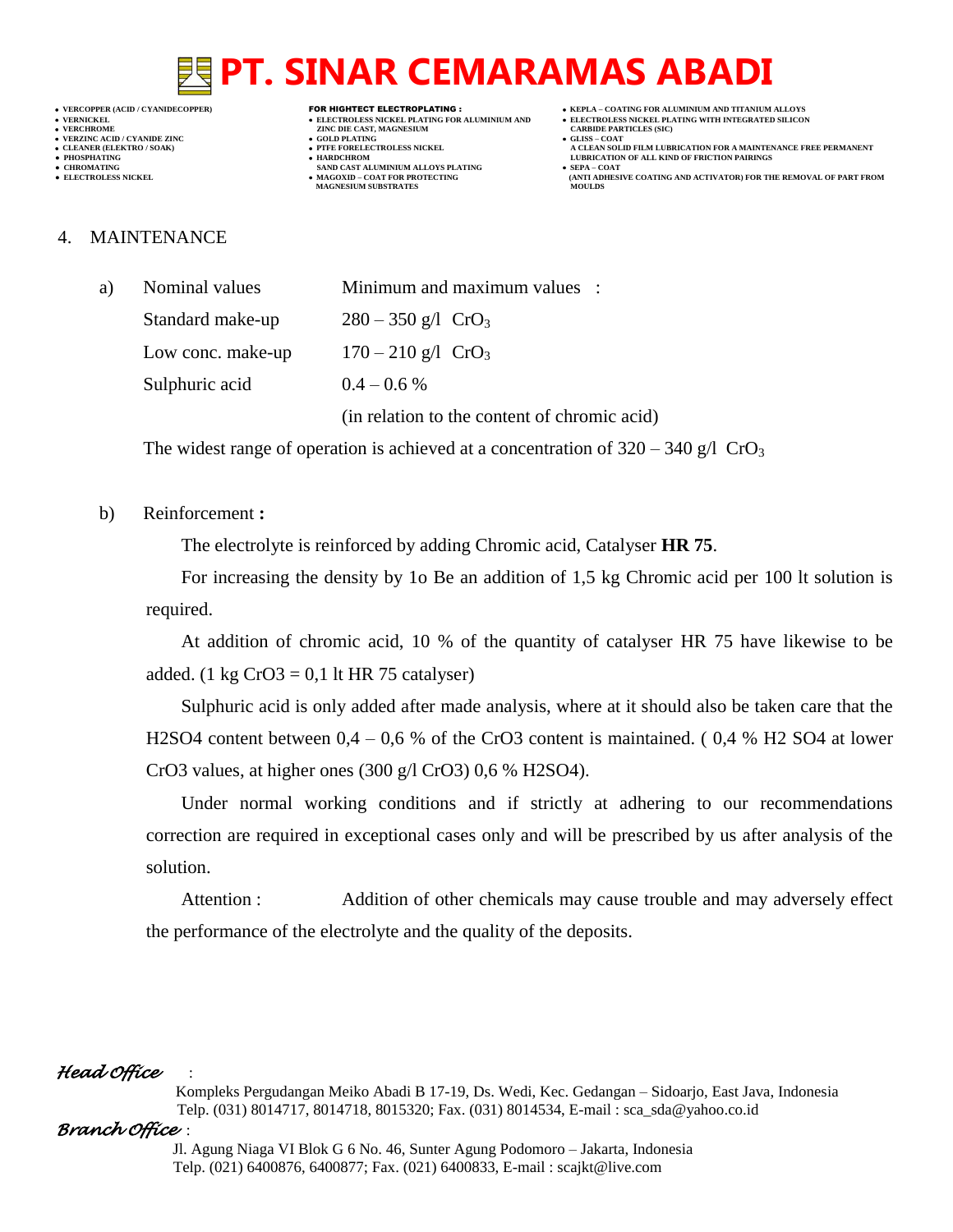- 
- 

- **VERT AND AGNESIUM CARBIDE PARTICLES (SILISS = COLD PLATING)**
- **VERZINC ACID / CYANIDE ZINC GOLD PLATING GLISS – COAT**
	-
- **CHROMATING SAND CAST ALUMINIUM ALLOYS PLATING**<br>• **ELECTROLESS NICKEL**<br>• **MAGOXID COAT FOR PROTECTING • MAGOXID – COAT FOR PROTECTING<br>MAGNESIUM SUBSTRATES**
- **VERCOPPER (ACID / CYANIDECOPPER)** FOR HIGHTECT ELECTROPLATING :  **KEPLA – COATING FOR ALUMINIUM AND TITANIUM ALLOYS**
- **VERNICKEL ELECTROLESS NICKEL PLATING FOR ALUMINIUM AND ELECTROLESS NICKEL PLATING WITH INTEGRATED SILICON**
	-
- **CLEANER (ELEKTRO / SOAK) PTFE FORELECTROLESS NICKEL A CLEAN SOLID FILM LUBRICATION FOR A MAINTENANCE FREE PERMANENT ● PHOSPHATING HARDCHROM LUBRICATION OF ALL KIND OF FRICTION PAIRINGS** 
	- **ELECTROLESS AND ACTIVATOR) FOR THE REMOVAL OF PART FROM (ANTI ADHESIVE COATING AND ACTIVATOR) FOR THE REMOVAL OF PART FROM**

#### 4. MAINTENANCE

| a) | Nominal values    | Minimum and maximum values :                 |  |  |
|----|-------------------|----------------------------------------------|--|--|
|    | Standard make-up  | $280 - 350$ g/l CrO <sub>3</sub>             |  |  |
|    | Low conc. make-up | $170 - 210$ g/l CrO <sub>3</sub>             |  |  |
|    | Sulphuric acid    | $0.4 - 0.6\%$                                |  |  |
|    |                   | (in relation to the content of chromic acid) |  |  |

The widest range of operation is achieved at a concentration of  $320 - 340$  g/l CrO<sub>3</sub>

#### b) Reinforcement **:**

The electrolyte is reinforced by adding Chromic acid, Catalyser **HR 75**.

For increasing the density by 1o Be an addition of 1,5 kg Chromic acid per 100 lt solution is required.

At addition of chromic acid, 10 % of the quantity of catalyser HR 75 have likewise to be added. (1 kg  $CrO3 = 0.1$  lt HR 75 catalyser)

Sulphuric acid is only added after made analysis, where at it should also be taken care that the H2SO4 content between 0,4 – 0,6 % of the CrO3 content is maintained. ( 0,4 % H2 SO4 at lower CrO3 values, at higher ones (300 g/l CrO3) 0,6 % H2SO4).

Under normal working conditions and if strictly at adhering to our recommendations correction are required in exceptional cases only and will be prescribed by us after analysis of the solution.

Attention : Addition of other chemicals may cause trouble and may adversely effect the performance of the electrolyte and the quality of the deposits.

### *Head Office* :

 Kompleks Pergudangan Meiko Abadi B 17-19, Ds. Wedi, Kec. Gedangan – Sidoarjo, East Java, Indonesia Telp. (031) 8014717, 8014718, 8015320; Fax. (031) 8014534, E-mail : sca\_sda@yahoo.co.id

### *Branch Office* :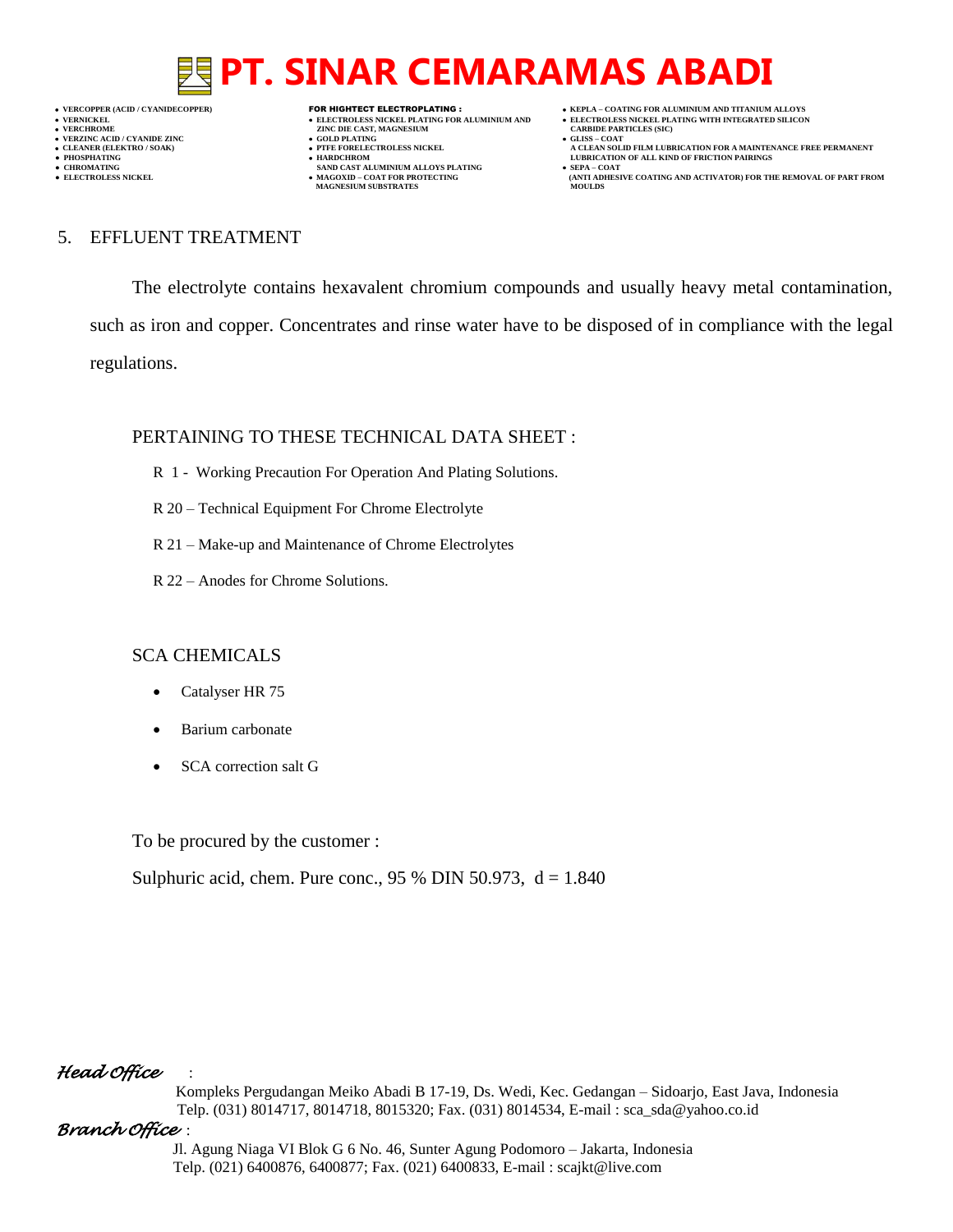**VERNICKEL ELECTROLESS NICKEL PLATING FOR ALUMINIUM AND ELECTROLESS NICKEL PLATING WITH INTEGRATED SILICON VERZINC ACID / CYANIDE ZINC GOLD PLATING GLISS – COAT**

- **VERT AND AGNESIUM CARBIDE PARTICLES (SOLD PLATING ASSESSMENT ASSESSMENT ASSESSMENT ASSESSMENT ASSESSMENT ASSESSMENT ASSESSMENT ASSESSMENT ASSESSMENT ASSESSMENT ASSESSMENT ASSESSMENT ASSESSMENT ASSESSMENT ASSESSMENT ASSESS** 
	-
- 
- **● CHROMATING SAND CAST ALUMINIUM ALLOYS PLATING SEPA – COAT MAGNESIUM SUBSTRATES MOULDS**
- **VERCOPPER (ACID / CYANIDECOPPER)** FOR HIGHTECT ELECTROPLATING :  **KEPLA – COATING FOR ALUMINIUM AND TITANIUM ALLOYS**
	-
	-
- **CLEANER (ELEKTRO / SOAK) PTFE FORELECTROLESS NICKEL A CLEAN SOLID FILM LUBRICATION FOR A MAINTENANCE FREE PERMANENT ● PHOSPHATING HARDCHROM LUBRICATION OF ALL KIND OF FRICTION PAIRINGS**
- **● ELECTROLESS NICKEL MAGOXID – COAT FOR PROTECTING (ANTI ADHESIVE COATING AND ACTIVATOR) FOR THE REMOVAL OF PART FROM**

#### 5. EFFLUENT TREATMENT

The electrolyte contains hexavalent chromium compounds and usually heavy metal contamination, such as iron and copper. Concentrates and rinse water have to be disposed of in compliance with the legal regulations.

### PERTAINING TO THESE TECHNICAL DATA SHEET :

- R 1 Working Precaution For Operation And Plating Solutions.
- R 20 Technical Equipment For Chrome Electrolyte
- R 21 Make-up and Maintenance of Chrome Electrolytes
- R 22 Anodes for Chrome Solutions.

### SCA CHEMICALS

- Catalyser HR 75
- Barium carbonate
- SCA correction salt G

To be procured by the customer :

Sulphuric acid, chem. Pure conc., 95 % DIN 50.973,  $d = 1.840$ 

### *Head Office* :

 Kompleks Pergudangan Meiko Abadi B 17-19, Ds. Wedi, Kec. Gedangan – Sidoarjo, East Java, Indonesia Telp. (031) 8014717, 8014718, 8015320; Fax. (031) 8014534, E-mail : sca\_sda@yahoo.co.id

### *Branch Office* :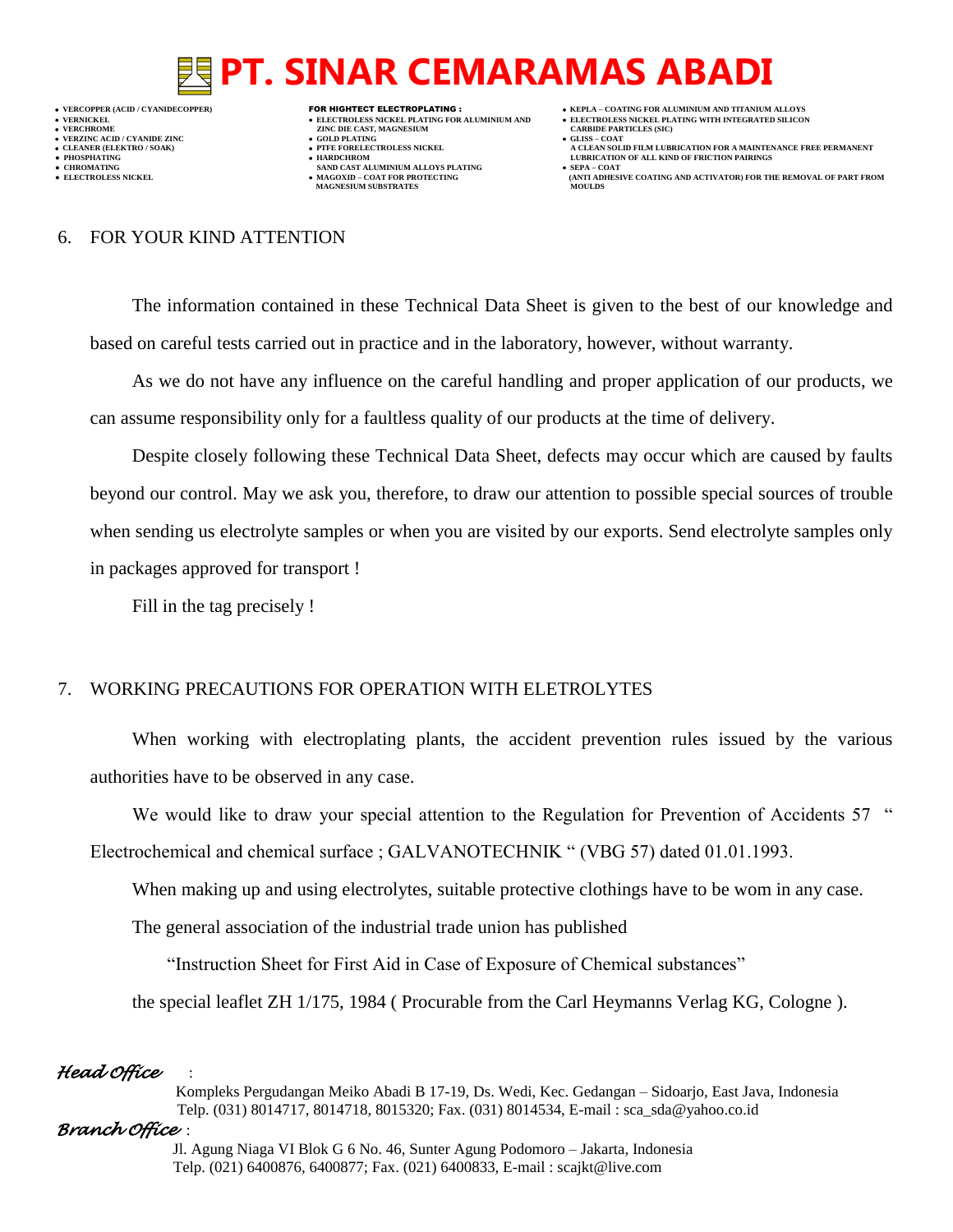**VERNICKEL ELECTROLESS NICKEL PLATING FOR ALUMINIUM AND ELECTROLESS NICKEL PLATING WITH INTEGRATED SILICON VERZINC ACID / CYANIDE ZINC GOLD PLATING GLISS – COAT**

- 
- **MAGNESIUM SUBSTRATES MOULDS**

- **VERFORM ZINC DIE CAST, MAGNESIUM CARBIDE PARTICLES (SIC)**<br> **CARBIDE PARTING**
- 
- **● CHROMATING SAND CAST ALUMINIUM ALLOYS PLATING SEPA – COAT**
- **VERCOPPER (ACID / CYANIDECOPPER)** FOR HIGHTECT ELECTROPLATING :  **KEPLA – COATING FOR ALUMINIUM AND TITANIUM ALLOYS**
	- -
- **CLEANER (ELEKTRO / SOAK) PTFE FORELECTROLESS NICKEL A CLEAN SOLID FILM LUBRICATION FOR A MAINTENANCE FREE PERMANENT ● PHOSPHATING HARDCHROM LUBRICATION OF ALL KIND OF FRICTION PAIRINGS**
- **• ELECTROLESS NICKEL <b>MAGOXID COAT FOR PROTECTING (ANTI ADVISOR DESCRIPTION FOR PART FROM ANTI ADDITION (ANTI ADHESIVE COATING AND ACTIVATOR) FOR THE REMOVAL OF PART FROM MAGOXID COAT AND COATING AND ACTIVATOR**

#### 6. FOR YOUR KIND ATTENTION

The information contained in these Technical Data Sheet is given to the best of our knowledge and based on careful tests carried out in practice and in the laboratory, however, without warranty.

As we do not have any influence on the careful handling and proper application of our products, we can assume responsibility only for a faultless quality of our products at the time of delivery.

Despite closely following these Technical Data Sheet, defects may occur which are caused by faults beyond our control. May we ask you, therefore, to draw our attention to possible special sources of trouble when sending us electrolyte samples or when you are visited by our exports. Send electrolyte samples only in packages approved for transport !

Fill in the tag precisely !

### 7. WORKING PRECAUTIONS FOR OPERATION WITH ELETROLYTES

When working with electroplating plants, the accident prevention rules issued by the various authorities have to be observed in any case.

We would like to draw your special attention to the Regulation for Prevention of Accidents 57 "

Electrochemical and chemical surface ; GALVANOTECHNIK " (VBG 57) dated 01.01.1993.

When making up and using electrolytes, suitable protective clothings have to be wom in any case.

The general association of the industrial trade union has published

"Instruction Sheet for First Aid in Case of Exposure of Chemical substances"

the special leaflet ZH 1/175, 1984 ( Procurable from the Carl Heymanns Verlag KG, Cologne ).

### *Head Office* :

 Kompleks Pergudangan Meiko Abadi B 17-19, Ds. Wedi, Kec. Gedangan – Sidoarjo, East Java, Indonesia Telp. (031) 8014717, 8014718, 8015320; Fax. (031) 8014534, E-mail : sca\_sda@yahoo.co.id

### *Branch Office* :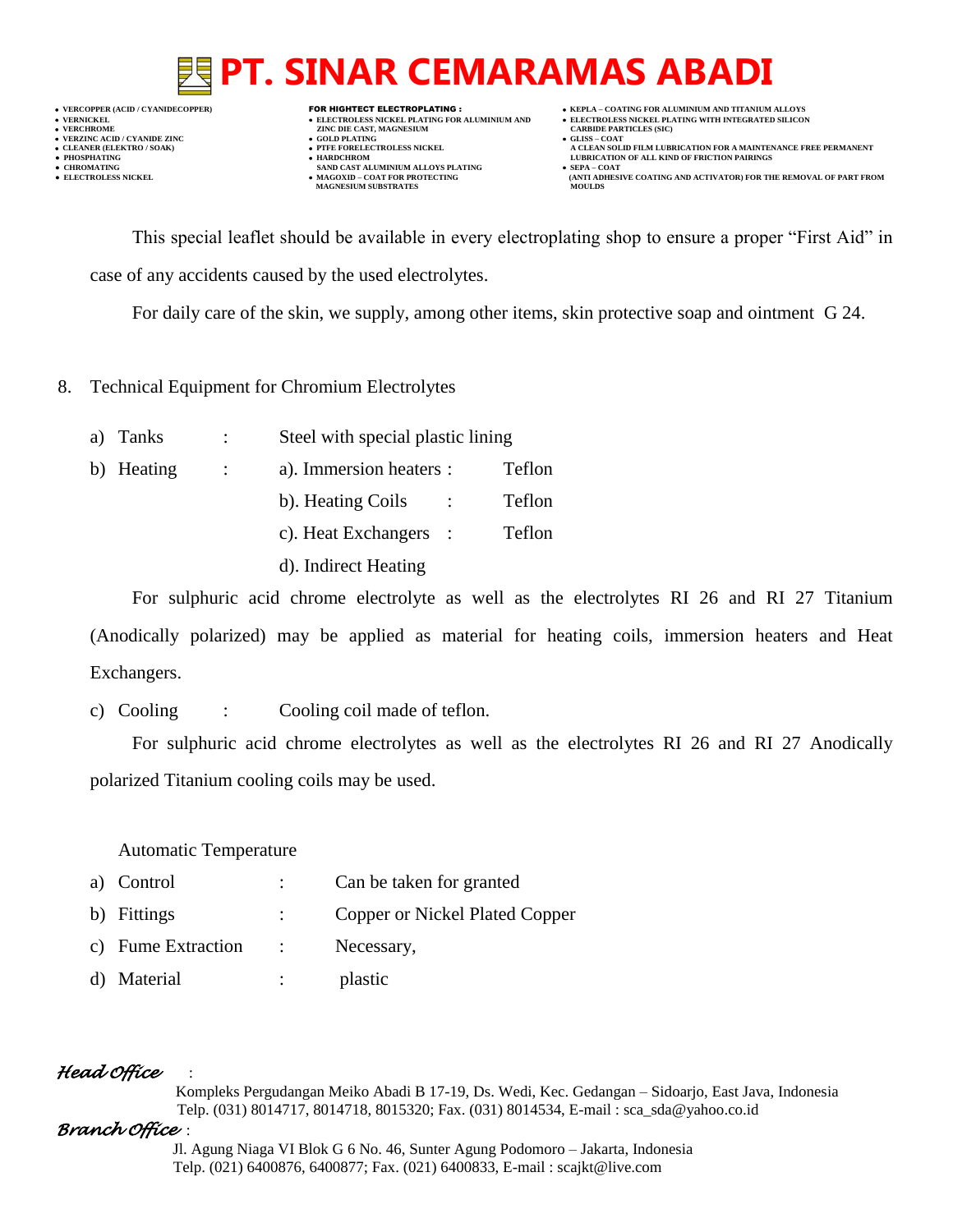**VERNICKEL ELECTROLESS NICKEL PLATING FOR ALUMINIUM AND ELECTROLESS NICKEL PLATING WITH INTEGRATED SILICON VERZINC ACID / CYANIDE ZINC GOLD PLATING GLISS – COAT**

- 
- 
- 

- **VERFORM ZINC DIE CAST, MAGNESIUM CARBIDE PARTICLES (SIC)**<br> **CARBIDE PARTING** 
	-
- **PHOSPHATING HARDCHROM LUBRICATION OF ALL KIND OF FRICTION PAIRINGS • CHROMATING SAND CAST ALUMINIUM ALLOYS PLATING**<br>• **ELECTROLESS NICKEL**<br>• **MAGOXID – COAT FOR PROTECTING • MAGOXID – COAT FOR PROTECTING<br>MAGNESIUM SUBSTRATES**
- **VERCOPPER (ACID / CYANIDECOPPER)** FOR HIGHTECT ELECTROPLATING :  **KEPLA – COATING FOR ALUMINIUM AND TITANIUM ALLOYS**
	-
- **CLEANER (ELEKTRO / SOAK) PTFE FORELECTROLESS NICKEL A CLEAN SOLID FILM LUBRICATION FOR A MAINTENANCE FREE PERMANENT**
	- **ELECTROLESS AND ACTIVATOR) FOR THE REMOVAL OF PART FROM (ANTI ADHESIVE COATING AND ACTIVATOR) FOR THE REMOVAL OF PART FROM <b>MOULDS**

This special leaflet should be available in every electroplating shop to ensure a proper "First Aid" in case of any accidents caused by the used electrolytes.

For daily care of the skin, we supply, among other items, skin protective soap and ointment G 24.

- 8. Technical Equipment for Chromium Electrolytes
	- a) Tanks : Steel with special plastic lining b) Heating : a). Immersion heaters : Teflon b). Heating Coils : Teflon c). Heat Exchangers : Teflon d). Indirect Heating

For sulphuric acid chrome electrolyte as well as the electrolytes RI 26 and RI 27 Titanium (Anodically polarized) may be applied as material for heating coils, immersion heaters and Heat Exchangers.

c) Cooling : Cooling coil made of teflon.

For sulphuric acid chrome electrolytes as well as the electrolytes RI 26 and RI 27 Anodically polarized Titanium cooling coils may be used.

Automatic Temperature

- a) Control : Can be taken for granted
- b) Fittings : Copper or Nickel Plated Copper
- c) Fume Extraction : Necessary,
- d) Material : plastic

## *Head Office* :

 Kompleks Pergudangan Meiko Abadi B 17-19, Ds. Wedi, Kec. Gedangan – Sidoarjo, East Java, Indonesia Telp. (031) 8014717, 8014718, 8015320; Fax. (031) 8014534, E-mail : sca\_sda@yahoo.co.id

## *Branch Office* :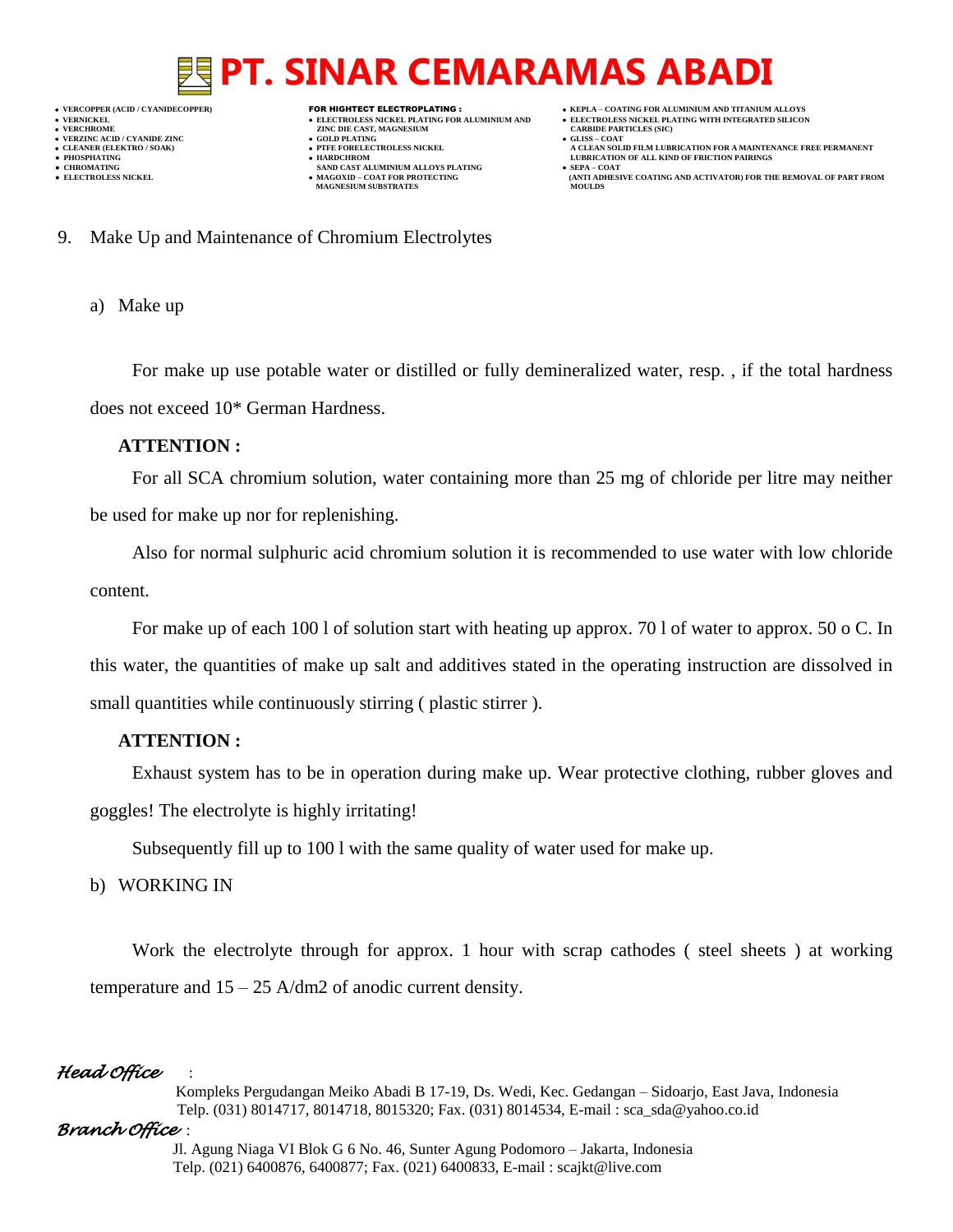**VERZINC ACID / CYANIDE ZINC GOLD PLATING GLISS – COAT**

- **VERFORM ZINC DIE CAST, MAGNESIUM CARBIDE PARTICLES (SIC)**<br> **CARBIDE PARTING**
- 
- 
- 
- 
- **● CHROMATING SAND CAST ALUMINIUM ALLOYS PLATING SEPA – COAT MAGNESIUM SUBSTRATES**
- **VERCOPPER (ACID / CYANIDECOPPER)** FOR HIGHTECT ELECTROPLATING :  **KEPLA – COATING FOR ALUMINIUM AND TITANIUM ALLOYS**
- **VERNICKEL ELECTROLESS NICKEL PLATING FOR ALUMINIUM AND ELECTROLESS NICKEL PLATING WITH INTEGRATED SILICON**
	-
- **CLEANER (ELEKTRO / SOAK) PTFE FORELECTROLESS NICKEL A CLEAN SOLID FILM LUBRICATION FOR A MAINTENANCE FREE PERMANENT ● PHOSPHATING HARDCHROM LUBRICATION OF ALL KIND OF FRICTION PAIRINGS** 
	- **ELECTROLESS AND ACTIVATOR) FOR THE REMOVAL OF PART FROM (ANTI ADHESIVE COATING AND ACTIVATOR) FOR THE REMOVAL OF PART FROM <b>MOULDS**
- 9. Make Up and Maintenance of Chromium Electrolytes

a) Make up

For make up use potable water or distilled or fully demineralized water, resp. , if the total hardness does not exceed 10\* German Hardness.

#### **ATTENTION :**

For all SCA chromium solution, water containing more than 25 mg of chloride per litre may neither be used for make up nor for replenishing.

Also for normal sulphuric acid chromium solution it is recommended to use water with low chloride content.

For make up of each 100 l of solution start with heating up approx. 70 l of water to approx. 50 o C. In this water, the quantities of make up salt and additives stated in the operating instruction are dissolved in small quantities while continuously stirring ( plastic stirrer ).

### **ATTENTION :**

Exhaust system has to be in operation during make up. Wear protective clothing, rubber gloves and goggles! The electrolyte is highly irritating!

Subsequently fill up to 100 l with the same quality of water used for make up.

### b) WORKING IN

Work the electrolyte through for approx. 1 hour with scrap cathodes ( steel sheets ) at working temperature and 15 – 25 A/dm2 of anodic current density.

### *Head Office* :

 Kompleks Pergudangan Meiko Abadi B 17-19, Ds. Wedi, Kec. Gedangan – Sidoarjo, East Java, Indonesia Telp. (031) 8014717, 8014718, 8015320; Fax. (031) 8014534, E-mail : sca\_sda@yahoo.co.id

### *Branch Office* :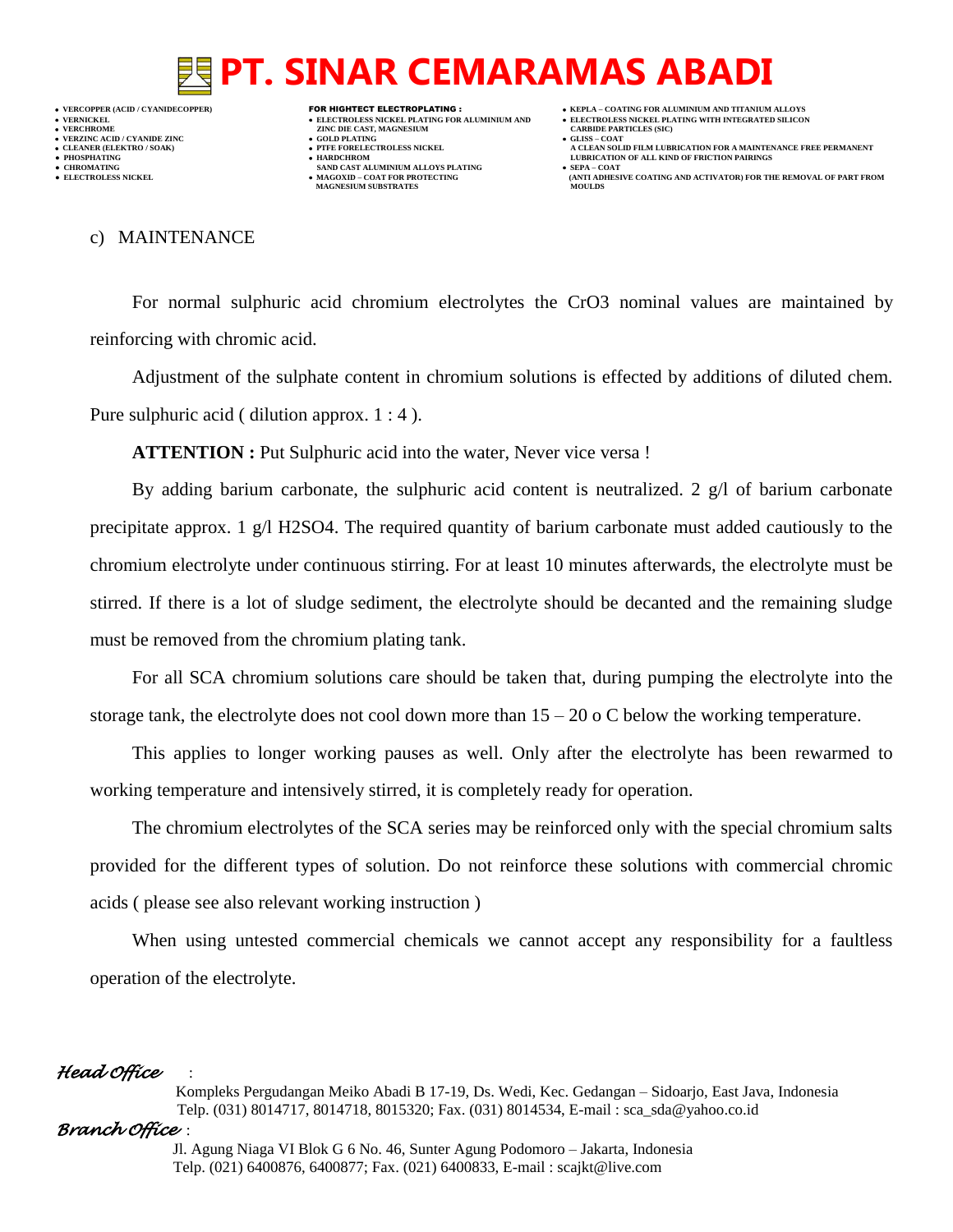**VERNICKEL ELECTROLESS NICKEL PLATING FOR ALUMINIUM AND ELECTROLESS NICKEL PLATING WITH INTEGRATED SILICON VERZINC ACID / CYANIDE ZINC GOLD PLATING GLISS – COAT ● PHOSPHATING HARDCHROM LUBRICATION OF ALL KIND OF FRICTION PAIRINGS** 

- **VERFORM ZINC DIE CAST, MAGNESIUM CARBIDE PARTICLES (SIC)**<br> **CARBIDE PARTING**
- 
- **CHROMATING SAND CAST ALUMINIUM ALLOYS PLATING**<br>• **ELECTROLESS NICKEL**<br>• **MAGOXID COAT FOR PROTECTING • MAGOXID – COAT FOR PROTECTING<br>MAGNESIUM SUBSTRATES**
- **VERCOPPER (ACID / CYANIDECOPPER)** FOR HIGHTECT ELECTROPLATING :  **KEPLA – COATING FOR ALUMINIUM AND TITANIUM ALLOYS**
	-
- **CLEANER (ELEKTRO / SOAK) PTFE FORELECTROLESS NICKEL A CLEAN SOLID FILM LUBRICATION FOR A MAINTENANCE FREE PERMANENT**
	- **ELECTROLESS AND ACTIVATOR) FOR THE REMOVAL OF PART FROM (ANTI ADHESIVE COATING AND ACTIVATOR) FOR THE REMOVAL OF PART FROM <b>MOULDS**

#### c) MAINTENANCE

For normal sulphuric acid chromium electrolytes the CrO3 nominal values are maintained by reinforcing with chromic acid.

Adjustment of the sulphate content in chromium solutions is effected by additions of diluted chem. Pure sulphuric acid ( dilution approx. 1 : 4 ).

ATTENTION : Put Sulphuric acid into the water, Never vice versa !

By adding barium carbonate, the sulphuric acid content is neutralized. 2  $g/l$  of barium carbonate precipitate approx. 1 g/l H2SO4. The required quantity of barium carbonate must added cautiously to the chromium electrolyte under continuous stirring. For at least 10 minutes afterwards, the electrolyte must be stirred. If there is a lot of sludge sediment, the electrolyte should be decanted and the remaining sludge must be removed from the chromium plating tank.

For all SCA chromium solutions care should be taken that, during pumping the electrolyte into the storage tank, the electrolyte does not cool down more than  $15 - 20$  o C below the working temperature.

This applies to longer working pauses as well. Only after the electrolyte has been rewarmed to working temperature and intensively stirred, it is completely ready for operation.

The chromium electrolytes of the SCA series may be reinforced only with the special chromium salts provided for the different types of solution. Do not reinforce these solutions with commercial chromic acids ( please see also relevant working instruction )

When using untested commercial chemicals we cannot accept any responsibility for a faultless operation of the electrolyte.

### *Head Office* :

 Kompleks Pergudangan Meiko Abadi B 17-19, Ds. Wedi, Kec. Gedangan – Sidoarjo, East Java, Indonesia Telp. (031) 8014717, 8014718, 8015320; Fax. (031) 8014534, E-mail : sca\_sda@yahoo.co.id

### *Branch Office* :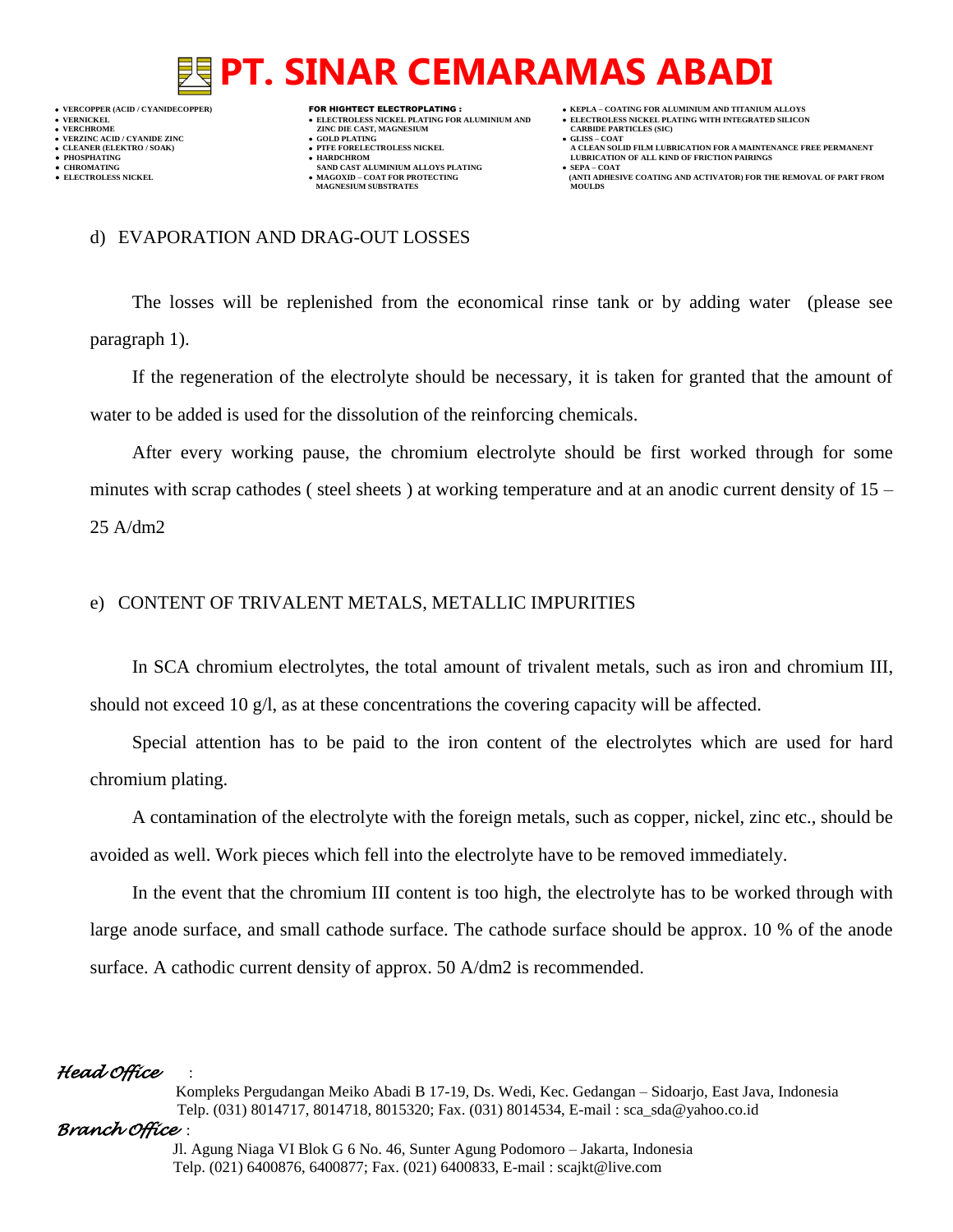**VERNICKEL ELECTROLESS NICKEL PLATING FOR ALUMINIUM AND ELECTROLESS NICKEL PLATING WITH INTEGRATED SILICON VERZINC ACID / CYANIDE ZINC GOLD PLATING GLISS – COAT ● PHOSPHATING HARDCHROM LUBRICATION OF ALL KIND OF FRICTION PAIRINGS** 

- **VERFORM ZINC DIE CAST, MAGNESIUM CARBIDE PARTICLES (SIC)**<br> **CARBIDE PARTING**
- 
- 
- **CHROMATING SAND CAST ALUMINIUM ALLOYS PLATING**<br>• **ELECTROLESS NICKEL**<br>• **MAGOXID COAT FOR PROTECTING • MAGOXID – COAT FOR PROTECTING<br>MAGNESIUM SUBSTRATES**
- **VERCOPPER (ACID / CYANIDECOPPER)** FOR HIGHTECT ELECTROPLATING :  **KEPLA – COATING FOR ALUMINIUM AND TITANIUM ALLOYS**
	-
- **CLEANER (ELEKTRO / SOAK) PTFE FORELECTROLESS NICKEL A CLEAN SOLID FILM LUBRICATION FOR A MAINTENANCE FREE PERMANENT**
	- **ELECTROLESS AND ACTIVATOR) FOR THE REMOVAL OF PART FROM (ANTI ADHESIVE COATING AND ACTIVATOR) FOR THE REMOVAL OF PART FROM <b>MOULDS**

#### d) EVAPORATION AND DRAG-OUT LOSSES

The losses will be replenished from the economical rinse tank or by adding water (please see paragraph 1).

If the regeneration of the electrolyte should be necessary, it is taken for granted that the amount of water to be added is used for the dissolution of the reinforcing chemicals.

After every working pause, the chromium electrolyte should be first worked through for some minutes with scrap cathodes ( steel sheets ) at working temperature and at an anodic current density of 15 – 25 A/dm2

#### e) CONTENT OF TRIVALENT METALS, METALLIC IMPURITIES

In SCA chromium electrolytes, the total amount of trivalent metals, such as iron and chromium III, should not exceed 10  $g/l$ , as at these concentrations the covering capacity will be affected.

Special attention has to be paid to the iron content of the electrolytes which are used for hard chromium plating.

A contamination of the electrolyte with the foreign metals, such as copper, nickel, zinc etc., should be avoided as well. Work pieces which fell into the electrolyte have to be removed immediately.

In the event that the chromium III content is too high, the electrolyte has to be worked through with large anode surface, and small cathode surface. The cathode surface should be approx. 10 % of the anode surface. A cathodic current density of approx. 50 A/dm2 is recommended.

### *Head Office* :

 Kompleks Pergudangan Meiko Abadi B 17-19, Ds. Wedi, Kec. Gedangan – Sidoarjo, East Java, Indonesia Telp. (031) 8014717, 8014718, 8015320; Fax. (031) 8014534, E-mail : sca\_sda@yahoo.co.id

### *Branch Office* :